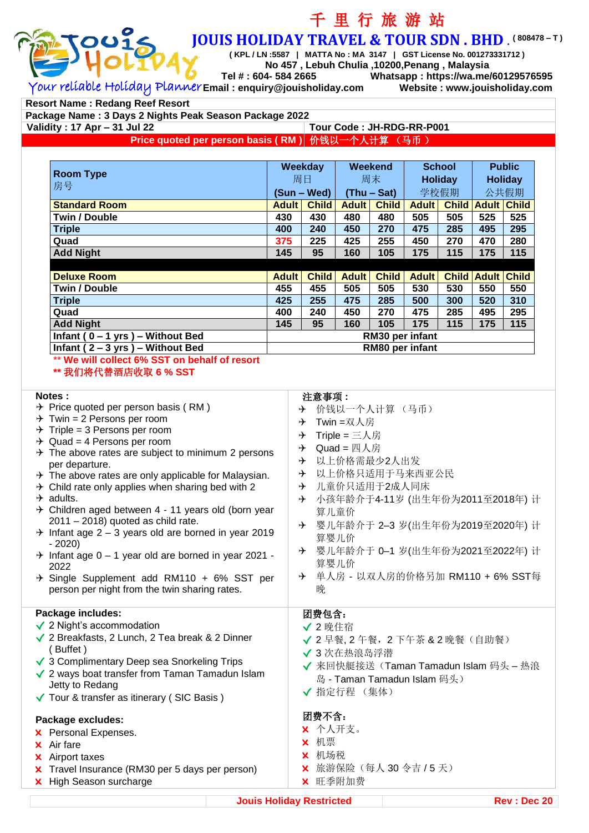

# 千 里 行 旅 游 站 **JOUIS HOLIDAY TRAVEL & TOUR SDN . BHD** . **( 808478 – T )**

**( KPL / LN :5587 | MATTA No : MA 3147 | GST License No. 001273331712 )**

**No 457 , Lebuh Chulia ,10200,Penang , Malaysia Tel # : 604- 584 2665 Whatsapp : https://wa.me/60129576595**

Your reliable Holiday Planner **Email : enquiry@jouisholiday.com Website : www.jouisholiday.com**

**Resort Name : Redang Reef Resort**

**Package Name : 3 Days 2 Nights Peak Season Package 2022 Validity : 17 Apr – 31 Jul 22 Price quoted per person basis ( RM )** 价钱以一个人计算 (马币 )

**Room Type** 房号 **Weekday Weekend School Public** 周日 周末 **Holiday Holiday (Sun – Wed) (Thu – Sat)** 学校假期 公共假期 **Standard Room Adult Child Adult Child Adult Child Adult Child Twin / Double 430 430 480 480 505 505 525 525 Triple 400 240 450 270 475 285 495 295 Quad 375 225 425 255 450 270 470 280 Add Night 145 95 160 105 175 115 175 115 Deluxe Room Adult Adult Child Adult Child Adult Child Adult Child Adult Child Adult Child Twin / Double 455 455 505 505 530 530 550 550 Triple 425 255 475 285 500 300 520 310 Quad 400 240 450 270 475 285 495 295 Add Night 145 95 160 105 175 115 175 115 Infant ( 0 – 1 yrs ) – Without Bed RM30 per infant Infant ( 2 – 3 yrs ) – Without Bed RM80 per infant**

\*\* **We will collect 6% SST on behalf of resort**

**\*\*** 我们将代替酒店收取 **6 % SST**

#### **Notes :**

- $\rightarrow$  Price quoted per person basis (RM)
- $\rightarrow$  Twin = 2 Persons per room
- $\rightarrow$  Triple = 3 Persons per room
- $\rightarrow$  Quad = 4 Persons per room
- $\rightarrow$  The above rates are subject to minimum 2 persons per departure.
- $\rightarrow$  The above rates are only applicable for Malaysian.
- $\rightarrow$  Child rate only applies when sharing bed with 2
- $\rightarrow$  adults.
- $\rightarrow$  Children aged between 4 11 years old (born year 2011 – 2018) quoted as child rate.
- $\rightarrow$  Infant age 2 3 years old are borned in year 2019 - 2020)
- $\rightarrow$  Infant age 0 1 year old are borned in year 2021 -2022
- $\div$  Single Supplement add RM110 + 6% SST per person per night from the twin sharing rates.

#### **Package includes:**

- √ 2 Night's accommodation
- √ 2 Breakfasts, 2 Lunch, 2 Tea break & 2 Dinner ( Buffet )
- √ 3 Complimentary Deep sea Snorkeling Trips
- √ 2 ways boat transfer from Taman Tamadun Islam Jetty to Redang
- √ Tour & transfer as itinerary ( SIC Basis )

### **Package excludes:**

- x Personal Expenses.
- x Air fare
- x Airport taxes
- x Travel Insurance (RM30 per 5 days per person)
- x High Season surcharge

#### 注意事项 **:**

- 价钱以一个人计算 (马币)
- **→ Twin =双人房**
- $\rightarrow$  Triple = 三人房
- $\rightarrow$  Quad = 四人房
- 以上价格需最少2人出发
- 以上价格只适用于马来西亚公民
- 儿童价只适用于2成人同床
- 小孩年龄介于4-11岁 (出生年份为2011至2018年) 计 算儿童价
- 婴儿年龄介于 2–3 岁(出生年份为2019至2020年) 计 算婴儿价
- 婴儿年龄介于 0–1 岁(出生年份为2021至2022年) 计 算婴儿价
- 单人房 以双人房的价格另加 RM110 + 6% SST每 晚

## 团费包含:

- √ 2 晚住宿
- √ 2 早餐, 2 午餐, 2 下午茶 & 2 晚餐(自助餐)
- √ 3 次在热浪岛浮潜
- √ 来回快艇接送(Taman Tamadun Islam 码头 热浪 岛 - Taman Tamadun Islam 码头)
- √ 指定行程 (集体)

#### 团费不含:

- x 个人开支。
- x 机票
- x 机场税
- **×** 旅游保险(每人 30 令吉 / 5 天)
- x 旺季附加费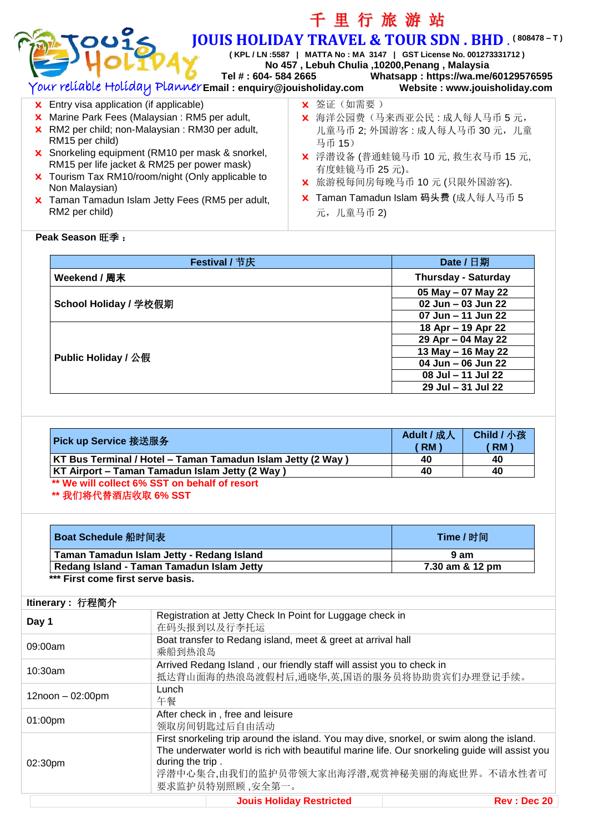| Tel #: 604- 584 2665<br>Your reliable Holiday Planner Email: enquiry@jouisholiday.com                                                                                                                                                                                                                                                                                                                                 | <b>JOUIS HOLIDAY TRAVEL &amp; TOUR SDN. BHD. (808478-T)</b><br>(KPL / LN :5587   MATTA No : MA 3147   GST License No. 001273331712)<br>No 457, Lebuh Chulia, 10200, Penang, Malaysia<br>Whatsapp: https://wa.me/60129576595<br>Website: www.jouisholiday.com |
|-----------------------------------------------------------------------------------------------------------------------------------------------------------------------------------------------------------------------------------------------------------------------------------------------------------------------------------------------------------------------------------------------------------------------|--------------------------------------------------------------------------------------------------------------------------------------------------------------------------------------------------------------------------------------------------------------|
| Entry visa application (if applicable)<br>×.<br>Marine Park Fees (Malaysian: RM5 per adult,<br>×.<br>RM2 per child; non-Malaysian: RM30 per adult,<br>RM15 per child)<br>X Snorkeling equipment (RM10 per mask & snorkel,<br>RM15 per life jacket & RM25 per power mask)<br>X Tourism Tax RM10/room/night (Only applicable to<br>Non Malaysian)<br>X Taman Tamadun Islam Jetty Fees (RM5 per adult,<br>RM2 per child) | X 签证 (如需要)<br>海洋公园费(马来西亚公民:成人每人马币5元,<br>×.<br>儿童马币 2; 外国游客: 成人每人马币 30 元, 儿童<br>马币 15)<br>X 浮潜设备 (普通蛙镜马币 10元, 救生衣马币 15元,<br>有度蛙镜马币 25元)。<br>旅游税每间房每晚马币 10元 (只限外国游客).<br>Taman Tamadun Islam 码头费 (成人每人马币 5<br>元,儿童马币2)                                         |
| <b>Peak Season 旺季:</b>                                                                                                                                                                                                                                                                                                                                                                                                |                                                                                                                                                                                                                                                              |

千 里 行 旅 游 站

| Festival / 节庆                | Date / 日期                  |
|------------------------------|----------------------------|
| Weekend / 周末                 | <b>Thursday - Saturday</b> |
|                              | 05 May - 07 May 22         |
| <b>School Holiday / 学校假期</b> | $02$ Jun – 03 Jun 22       |
|                              | 07 Jun - 11 Jun 22         |
|                              | 18 Apr – 19 Apr 22         |
|                              | 29 Apr - 04 May 22         |
| <b>Public Holiday / 公假</b>   | 13 May - 16 May 22         |
|                              | 04 Jun - 06 Jun 22         |
|                              | 08 Jul - 11 Jul 22         |
|                              | 29 Jul - 31 Jul 22         |

| Pick up Service 接送服务                                        | Adult / 成人<br><b>RM</b> | <b>Child / 小孩</b><br><b>RM</b> |
|-------------------------------------------------------------|-------------------------|--------------------------------|
| KT Bus Terminal / Hotel - Taman Tamadun Islam Jetty (2 Way) | 40                      | 40                             |
| KT Airport – Taman Tamadun Islam Jetty (2 Way)              | 40                      | 40                             |
| ** We will collect 6% SST on behalf of resort               |                         |                                |

# **\*\*** 我们将代替酒店收取 **6% SST**

| Boat Schedule 船时间表                        | Time / 时间       |
|-------------------------------------------|-----------------|
| Taman Tamadun Islam Jetty - Redang Island | 9 am            |
| Redang Island - Taman Tamadun Islam Jetty | 7.30 am & 12 pm |
| *** First come first serve basis.         |                 |

#### **Jouis Holiday Restricted <b>Rev** : Dec 20 **Itinerary :** 行程简介 **Day 1** Registration at Jetty Check In Point for Luggage check in  $\#$  Edult R  $\#$  Estimate in 在码头报到以及行李托运 09:00am Boat transfer to Redang island, meet & greet at arrival hall 乘船到热浪岛 10:30am Arrived Redang Island , our friendly staff will assist you to check in 抵达背山面海的热浪岛渡假村后,通晓华,英,国语的服务员将协助贵宾们办理登记手续。 12noon – 02:00pm Lunch 午餐 01:00pm After check in , free and leisure 领取房间钥匙过后自由活动 02:30pm First snorkeling trip around the island. You may dive, snorkel, or swim along the island. The underwater world is rich with beautiful marine life. Our snorkeling guide will assist you during the trip . 浮潜中心集合,由我们的监护员带领大家出海浮潜,观赏神秘美丽的海底世界。不谙水性者可 要求监护员特别照顾 ,安全第一。